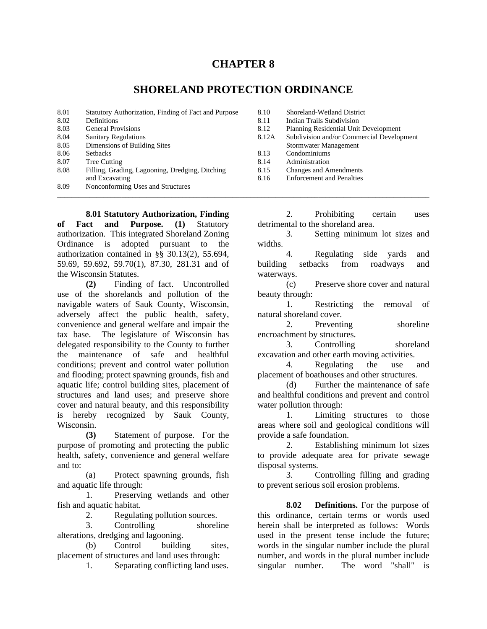## **CHAPTER 8**

## **SHORELAND PROTECTION ORDINANCE**

- 8.01 Statutory Authorization, Finding of Fact and Purpose 8.10 Shoreland-Wetland District 8.02 Definitions 8.11 Indian Trails Subdivision 8.03 General Provisions 8.12 Planning Residential Unit Development 8.04 Sanitary Regulations 8.12A Subdivision and/or Commercial Development 8.05 Dimensions of Building Sites Stormwater Management<br>
8.06 Setbacks 8.13 Condominiums 8.06 Setbacks 8.13 Condominiums 8.07 Tree Cutting 2.14 Administration
- 8.08 Filling, Grading, Lagooning, Dredging, Ditching 8.15 Changes and Amendments and Excavating 8.16 Enforcement and Penalties
- 8.09 Nonconforming Uses and Structures  $\bot$  , and the state of the state of the state of the state of the state of the state of the state of the state of the state of the state of the state of the state of the state of the state of the state of the state of th

**8.01 Statutory Authorization, Finding of Fact and Purpose. (1)** Statutory authorization. This integrated Shoreland Zoning Ordinance is adopted pursuant to the authorization contained in §§ 30.13(2), 55.694, 59.69, 59.692, 59.70(1), 87.30, 281.31 and of the Wisconsin Statutes.

**(2)** Finding of fact. Uncontrolled use of the shorelands and pollution of the navigable waters of Sauk County, Wisconsin, adversely affect the public health, safety, convenience and general welfare and impair the tax base. The legislature of Wisconsin has delegated responsibility to the County to further the maintenance of safe and healthful conditions; prevent and control water pollution and flooding; protect spawning grounds, fish and aquatic life; control building sites, placement of structures and land uses; and preserve shore cover and natural beauty, and this responsibility is hereby recognized by Sauk County, Wisconsin.

**(3)** Statement of purpose. For the purpose of promoting and protecting the public health, safety, convenience and general welfare and to:

 (a) Protect spawning grounds, fish and aquatic life through:

 1. Preserving wetlands and other fish and aquatic habitat.

2. Regulating pollution sources.

 3. Controlling shoreline alterations, dredging and lagooning.

 (b) Control building sites, placement of structures and land uses through:

1. Separating conflicting land uses.

 2. Prohibiting certain uses detrimental to the shoreland area.

 3. Setting minimum lot sizes and widths.

 4. Regulating side yards and building setbacks from roadways and waterways.

 (c) Preserve shore cover and natural beauty through:

 1. Restricting the removal of natural shoreland cover.

 2. Preventing shoreline encroachment by structures.

 3. Controlling shoreland excavation and other earth moving activities.

 4. Regulating the use and placement of boathouses and other structures.

 (d) Further the maintenance of safe and healthful conditions and prevent and control water pollution through:

 1. Limiting structures to those areas where soil and geological conditions will provide a safe foundation.

 2. Establishing minimum lot sizes to provide adequate area for private sewage disposal systems.

 3. Controlling filling and grading to prevent serious soil erosion problems.

 **8.02 Definitions.** For the purpose of this ordinance, certain terms or words used herein shall be interpreted as follows: Words used in the present tense include the future; words in the singular number include the plural number, and words in the plural number include singular number. The word "shall" is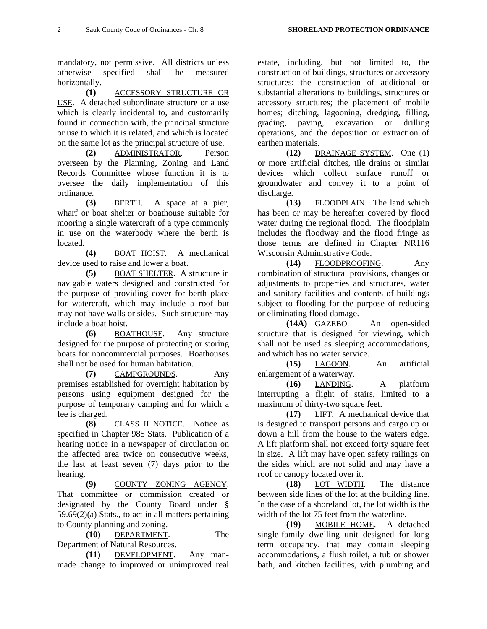mandatory, not permissive. All districts unless otherwise specified shall be measured horizontally.

**(1)** ACCESSORY STRUCTURE OR USE. A detached subordinate structure or a use which is clearly incidental to, and customarily found in connection with, the principal structure or use to which it is related, and which is located on the same lot as the principal structure of use.

**(2)** ADMINISTRATOR. Person overseen by the Planning, Zoning and Land Records Committee whose function it is to oversee the daily implementation of this ordinance.

**(3)** BERTH. A space at a pier, wharf or boat shelter or boathouse suitable for mooring a single watercraft of a type commonly in use on the waterbody where the berth is located.

**(4)** BOAT HOIST. A mechanical device used to raise and lower a boat.

**(5)** BOAT SHELTER. A structure in navigable waters designed and constructed for the purpose of providing cover for berth place for watercraft, which may include a roof but may not have walls or sides. Such structure may include a boat hoist.

**(6)** BOATHOUSE. Any structure designed for the purpose of protecting or storing boats for noncommercial purposes. Boathouses shall not be used for human habitation.

**(7)** CAMPGROUNDS. Any premises established for overnight habitation by persons using equipment designed for the purpose of temporary camping and for which a fee is charged.

**(8)** CLASS II NOTICE. Notice as specified in Chapter 985 Stats. Publication of a hearing notice in a newspaper of circulation on the affected area twice on consecutive weeks, the last at least seven (7) days prior to the hearing.

 **(9)** COUNTY ZONING AGENCY. That committee or commission created or designated by the County Board under § 59.69(2)(a) Stats., to act in all matters pertaining to County planning and zoning.

**(10)** DEPARTMENT. The Department of Natural Resources.

**(11)** DEVELOPMENT. Any manmade change to improved or unimproved real

estate, including, but not limited to, the construction of buildings, structures or accessory structures; the construction of additional or substantial alterations to buildings, structures or accessory structures; the placement of mobile homes; ditching, lagooning, dredging, filling, grading, paving, excavation or drilling operations, and the deposition or extraction of earthen materials.

**(12)** DRAINAGE SYSTEM. One (1) or more artificial ditches, tile drains or similar devices which collect surface runoff or groundwater and convey it to a point of discharge.

**(13)** FLOODPLAIN. The land which has been or may be hereafter covered by flood water during the regional flood. The floodplain includes the floodway and the flood fringe as those terms are defined in Chapter NR116 Wisconsin Administrative Code.

**(14)** FLOODPROOFING. Any combination of structural provisions, changes or adjustments to properties and structures, water and sanitary facilities and contents of buildings subject to flooding for the purpose of reducing or eliminating flood damage.

**(14A)** GAZEBO. An open-sided structure that is designed for viewing, which shall not be used as sleeping accommodations, and which has no water service.

 **(15)** LAGOON. An artificial enlargement of a waterway.

**(16)** LANDING. A platform interrupting a flight of stairs, limited to a maximum of thirty-two square feet.

**(17)** LIFT. A mechanical device that is designed to transport persons and cargo up or down a hill from the house to the waters edge. A lift platform shall not exceed forty square feet in size. A lift may have open safety railings on the sides which are not solid and may have a roof or canopy located over it.

**(18)** LOT WIDTH. The distance between side lines of the lot at the building line. In the case of a shoreland lot, the lot width is the width of the lot 75 feet from the waterline.

**(19)** MOBILE HOME. A detached single-family dwelling unit designed for long term occupancy, that may contain sleeping accommodations, a flush toilet, a tub or shower bath, and kitchen facilities, with plumbing and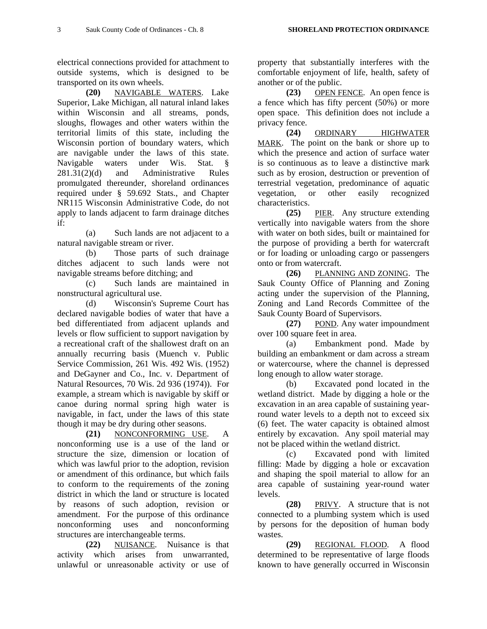electrical connections provided for attachment to outside systems, which is designed to be transported on its own wheels.

**(20)** NAVIGABLE WATERS. Lake Superior, Lake Michigan, all natural inland lakes within Wisconsin and all streams, ponds, sloughs, flowages and other waters within the territorial limits of this state, including the Wisconsin portion of boundary waters, which are navigable under the laws of this state. Navigable waters under Wis. Stat. § 281.31(2)(d) and Administrative Rules promulgated thereunder, shoreland ordinances required under § 59.692 Stats., and Chapter NR115 Wisconsin Administrative Code, do not apply to lands adjacent to farm drainage ditches if:

 (a) Such lands are not adjacent to a natural navigable stream or river.

 (b) Those parts of such drainage ditches adjacent to such lands were not navigable streams before ditching; and

 (c) Such lands are maintained in nonstructural agricultural use.

 (d) Wisconsin's Supreme Court has declared navigable bodies of water that have a bed differentiated from adjacent uplands and levels or flow sufficient to support navigation by a recreational craft of the shallowest draft on an annually recurring basis (Muench v. Public Service Commission, 261 Wis. 492 Wis. (1952) and DeGayner and Co., Inc. v. Department of Natural Resources, 70 Wis. 2d 936 (1974)). For example, a stream which is navigable by skiff or canoe during normal spring high water is navigable, in fact, under the laws of this state though it may be dry during other seasons.

**(21)** NONCONFORMING USE. A nonconforming use is a use of the land or structure the size, dimension or location of which was lawful prior to the adoption, revision or amendment of this ordinance, but which fails to conform to the requirements of the zoning district in which the land or structure is located by reasons of such adoption, revision or amendment. For the purpose of this ordinance nonconforming uses and nonconforming structures are interchangeable terms.

**(22)** NUISANCE. Nuisance is that activity which arises from unwarranted, unlawful or unreasonable activity or use of property that substantially interferes with the comfortable enjoyment of life, health, safety of another or of the public.

**(23)** OPEN FENCE. An open fence is a fence which has fifty percent (50%) or more open space. This definition does not include a privacy fence.

**(24)** ORDINARY HIGHWATER MARK. The point on the bank or shore up to which the presence and action of surface water is so continuous as to leave a distinctive mark such as by erosion, destruction or prevention of terrestrial vegetation, predominance of aquatic vegetation, or other easily recognized characteristics.

**(25)** PIER. Any structure extending vertically into navigable waters from the shore with water on both sides, built or maintained for the purpose of providing a berth for watercraft or for loading or unloading cargo or passengers onto or from watercraft.

**(26)** PLANNING AND ZONING. The Sauk County Office of Planning and Zoning acting under the supervision of the Planning, Zoning and Land Records Committee of the Sauk County Board of Supervisors.

**(27)** POND. Any water impoundment over 100 square feet in area.

 (a) Embankment pond. Made by building an embankment or dam across a stream or watercourse, where the channel is depressed long enough to allow water storage.

 (b) Excavated pond located in the wetland district. Made by digging a hole or the excavation in an area capable of sustaining yearround water levels to a depth not to exceed six (6) feet. The water capacity is obtained almost entirely by excavation. Any spoil material may not be placed within the wetland district.

 (c) Excavated pond with limited filling: Made by digging a hole or excavation and shaping the spoil material to allow for an area capable of sustaining year-round water levels.

**(28)** PRIVY. A structure that is not connected to a plumbing system which is used by persons for the deposition of human body wastes.

**(29)** REGIONAL FLOOD. A flood determined to be representative of large floods known to have generally occurred in Wisconsin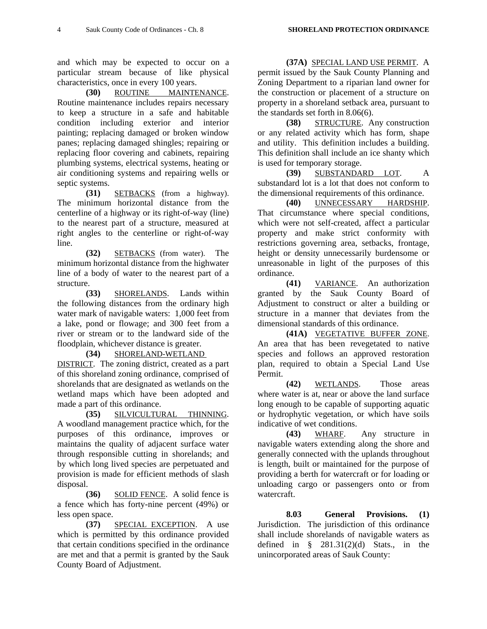and which may be expected to occur on a particular stream because of like physical characteristics, once in every 100 years.

**(30)** ROUTINE MAINTENANCE. Routine maintenance includes repairs necessary to keep a structure in a safe and habitable condition including exterior and interior painting; replacing damaged or broken window panes; replacing damaged shingles; repairing or replacing floor covering and cabinets, repairing plumbing systems, electrical systems, heating or air conditioning systems and repairing wells or septic systems.

**(31)** SETBACKS (from a highway). The minimum horizontal distance from the centerline of a highway or its right-of-way (line) to the nearest part of a structure, measured at right angles to the centerline or right-of-way line.

**(32)** SETBACKS (from water). The minimum horizontal distance from the highwater line of a body of water to the nearest part of a structure.

**(33)** SHORELANDS. Lands within the following distances from the ordinary high water mark of navigable waters: 1,000 feet from a lake, pond or flowage; and 300 feet from a river or stream or to the landward side of the floodplain, whichever distance is greater.

**(34)** SHORELAND-WETLAND

DISTRICT. The zoning district, created as a part of this shoreland zoning ordinance, comprised of shorelands that are designated as wetlands on the wetland maps which have been adopted and made a part of this ordinance.

**(35)** SILVICULTURAL THINNING. A woodland management practice which, for the purposes of this ordinance, improves or maintains the quality of adjacent surface water through responsible cutting in shorelands; and by which long lived species are perpetuated and provision is made for efficient methods of slash disposal.

**(36)** SOLID FENCE. A solid fence is a fence which has forty-nine percent (49%) or less open space.

**(37)** SPECIAL EXCEPTION. A use which is permitted by this ordinance provided that certain conditions specified in the ordinance are met and that a permit is granted by the Sauk County Board of Adjustment.

**(37A)** SPECIAL LAND USE PERMIT. A

permit issued by the Sauk County Planning and Zoning Department to a riparian land owner for the construction or placement of a structure on property in a shoreland setback area, pursuant to the standards set forth in 8.06(6).

**(38)** STRUCTURE. Any construction or any related activity which has form, shape and utility. This definition includes a building. This definition shall include an ice shanty which is used for temporary storage.

**(39)** SUBSTANDARD LOT. A substandard lot is a lot that does not conform to the dimensional requirements of this ordinance.

**(40)** UNNECESSARY HARDSHIP. That circumstance where special conditions, which were not self-created, affect a particular property and make strict conformity with restrictions governing area, setbacks, frontage, height or density unnecessarily burdensome or unreasonable in light of the purposes of this ordinance.

**(41)** VARIANCE. An authorization granted by the Sauk County Board of Adjustment to construct or alter a building or structure in a manner that deviates from the dimensional standards of this ordinance.

**(41A)** VEGETATIVE BUFFER ZONE. An area that has been revegetated to native species and follows an approved restoration plan, required to obtain a Special Land Use Permit.

**(42)** WETLANDS. Those areas where water is at, near or above the land surface long enough to be capable of supporting aquatic or hydrophytic vegetation, or which have soils indicative of wet conditions.

**(43)** WHARF. Any structure in navigable waters extending along the shore and generally connected with the uplands throughout is length, built or maintained for the purpose of providing a berth for watercraft or for loading or unloading cargo or passengers onto or from watercraft.

**8.03 General Provisions. (1)** Jurisdiction. The jurisdiction of this ordinance shall include shorelands of navigable waters as defined in  $\S$  281.31(2)(d) Stats., in the unincorporated areas of Sauk County: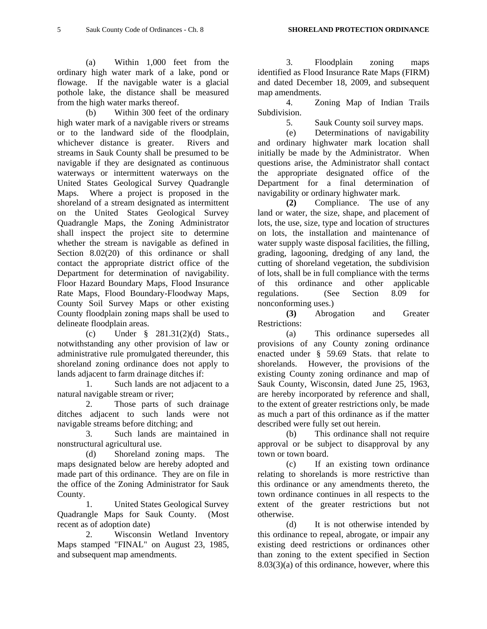(a) Within 1,000 feet from the ordinary high water mark of a lake, pond or flowage. If the navigable water is a glacial pothole lake, the distance shall be measured from the high water marks thereof.

 (b) Within 300 feet of the ordinary high water mark of a navigable rivers or streams or to the landward side of the floodplain, whichever distance is greater. Rivers and streams in Sauk County shall be presumed to be navigable if they are designated as continuous waterways or intermittent waterways on the United States Geological Survey Quadrangle Maps. Where a project is proposed in the shoreland of a stream designated as intermittent on the United States Geological Survey Quadrangle Maps, the Zoning Administrator shall inspect the project site to determine whether the stream is navigable as defined in Section 8.02(20) of this ordinance or shall contact the appropriate district office of the Department for determination of navigability. Floor Hazard Boundary Maps, Flood Insurance Rate Maps, Flood Boundary-Floodway Maps, County Soil Survey Maps or other existing County floodplain zoning maps shall be used to delineate floodplain areas.

 (c) Under § 281.31(2)(d) Stats., notwithstanding any other provision of law or administrative rule promulgated thereunder, this shoreland zoning ordinance does not apply to lands adjacent to farm drainage ditches if:

 1. Such lands are not adjacent to a natural navigable stream or river;

 2. Those parts of such drainage ditches adjacent to such lands were not navigable streams before ditching; and

 3. Such lands are maintained in nonstructural agricultural use.

 (d) Shoreland zoning maps. The maps designated below are hereby adopted and made part of this ordinance. They are on file in the office of the Zoning Administrator for Sauk County.

 1. United States Geological Survey Quadrangle Maps for Sauk County. (Most recent as of adoption date)

 2. Wisconsin Wetland Inventory Maps stamped "FINAL" on August 23, 1985, and subsequent map amendments.

 3. Floodplain zoning maps identified as Flood Insurance Rate Maps (FIRM) and dated December 18, 2009, and subsequent map amendments.

 4. Zoning Map of Indian Trails Subdivision.

5. Sauk County soil survey maps.

 (e) Determinations of navigability and ordinary highwater mark location shall initially be made by the Administrator. When questions arise, the Administrator shall contact the appropriate designated office of the Department for a final determination of navigability or ordinary highwater mark.

**(2)** Compliance. The use of any land or water, the size, shape, and placement of lots, the use, size, type and location of structures on lots, the installation and maintenance of water supply waste disposal facilities, the filling, grading, lagooning, dredging of any land, the cutting of shoreland vegetation, the subdivision of lots, shall be in full compliance with the terms of this ordinance and other applicable regulations. (See Section 8.09 for nonconforming uses.)

**(3)** Abrogation and Greater Restrictions:

 (a) This ordinance supersedes all provisions of any County zoning ordinance enacted under § 59.69 Stats. that relate to shorelands. However, the provisions of the existing County zoning ordinance and map of Sauk County, Wisconsin, dated June 25, 1963, are hereby incorporated by reference and shall, to the extent of greater restrictions only, be made as much a part of this ordinance as if the matter described were fully set out herein.

 (b) This ordinance shall not require approval or be subject to disapproval by any town or town board.

 (c) If an existing town ordinance relating to shorelands is more restrictive than this ordinance or any amendments thereto, the town ordinance continues in all respects to the extent of the greater restrictions but not otherwise.

 (d) It is not otherwise intended by this ordinance to repeal, abrogate, or impair any existing deed restrictions or ordinances other than zoning to the extent specified in Section 8.03(3)(a) of this ordinance, however, where this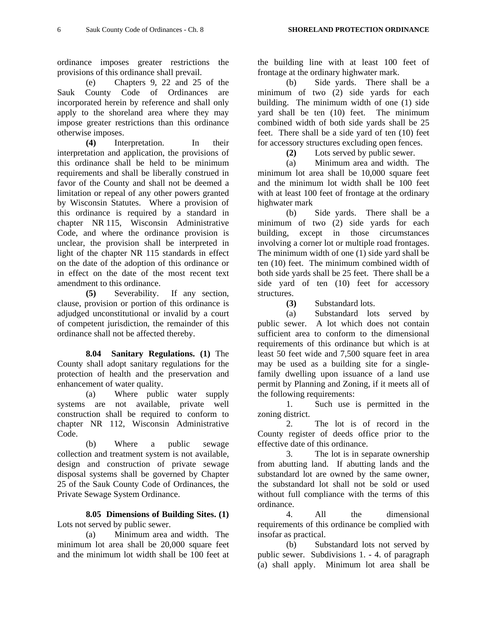ordinance imposes greater restrictions the provisions of this ordinance shall prevail.

 (e) Chapters 9, 22 and 25 of the Sauk County Code of Ordinances are incorporated herein by reference and shall only apply to the shoreland area where they may impose greater restrictions than this ordinance otherwise imposes.

**(4)** Interpretation. In their interpretation and application, the provisions of this ordinance shall be held to be minimum requirements and shall be liberally construed in favor of the County and shall not be deemed a limitation or repeal of any other powers granted by Wisconsin Statutes. Where a provision of this ordinance is required by a standard in chapter NR 115, Wisconsin Administrative Code, and where the ordinance provision is unclear, the provision shall be interpreted in light of the chapter NR 115 standards in effect on the date of the adoption of this ordinance or in effect on the date of the most recent text amendment to this ordinance.

**(5)** Severability. If any section, clause, provision or portion of this ordinance is adjudged unconstitutional or invalid by a court of competent jurisdiction, the remainder of this ordinance shall not be affected thereby.

**8.04 Sanitary Regulations. (1)** The County shall adopt sanitary regulations for the protection of health and the preservation and enhancement of water quality.

 (a) Where public water supply systems are not available, private well construction shall be required to conform to chapter NR 112, Wisconsin Administrative Code.

 (b) Where a public sewage collection and treatment system is not available, design and construction of private sewage disposal systems shall be governed by Chapter 25 of the Sauk County Code of Ordinances, the Private Sewage System Ordinance.

**8.05 Dimensions of Building Sites. (1)** Lots not served by public sewer.

 (a) Minimum area and width. The minimum lot area shall be 20,000 square feet and the minimum lot width shall be 100 feet at

the building line with at least 100 feet of frontage at the ordinary highwater mark.

 (b) Side yards. There shall be a minimum of two (2) side yards for each building. The minimum width of one (1) side yard shall be ten (10) feet. The minimum combined width of both side yards shall be 25 feet. There shall be a side yard of ten (10) feet for accessory structures excluding open fences.

**(2)** Lots served by public sewer.

 (a) Minimum area and width. The minimum lot area shall be 10,000 square feet and the minimum lot width shall be 100 feet with at least 100 feet of frontage at the ordinary highwater mark

 (b) Side yards. There shall be a minimum of two (2) side yards for each building, except in those circumstances involving a corner lot or multiple road frontages. The minimum width of one (1) side yard shall be ten (10) feet. The minimum combined width of both side yards shall be 25 feet. There shall be a side yard of ten (10) feet for accessory structures.

**(3)** Substandard lots.

 (a) Substandard lots served by public sewer. A lot which does not contain sufficient area to conform to the dimensional requirements of this ordinance but which is at least 50 feet wide and 7,500 square feet in area may be used as a building site for a singlefamily dwelling upon issuance of a land use permit by Planning and Zoning, if it meets all of the following requirements:

 1. Such use is permitted in the zoning district.

 2. The lot is of record in the County register of deeds office prior to the effective date of this ordinance.

 3. The lot is in separate ownership from abutting land. If abutting lands and the substandard lot are owned by the same owner, the substandard lot shall not be sold or used without full compliance with the terms of this ordinance.

 4. All the dimensional requirements of this ordinance be complied with insofar as practical.

 (b) Substandard lots not served by public sewer. Subdivisions 1. - 4. of paragraph (a) shall apply. Minimum lot area shall be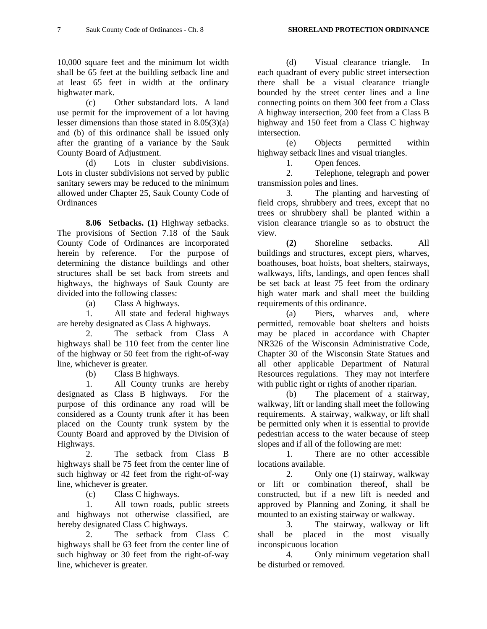10,000 square feet and the minimum lot width shall be 65 feet at the building setback line and at least 65 feet in width at the ordinary highwater mark.

 (c) Other substandard lots. A land use permit for the improvement of a lot having lesser dimensions than those stated in 8.05(3)(a) and (b) of this ordinance shall be issued only after the granting of a variance by the Sauk County Board of Adjustment.

 (d) Lots in cluster subdivisions. Lots in cluster subdivisions not served by public sanitary sewers may be reduced to the minimum allowed under Chapter 25, Sauk County Code of **Ordinances** 

**8.06 Setbacks. (1)** Highway setbacks. The provisions of Section 7.18 of the Sauk County Code of Ordinances are incorporated herein by reference. For the purpose of determining the distance buildings and other structures shall be set back from streets and highways, the highways of Sauk County are divided into the following classes:

(a) Class A highways.

 1. All state and federal highways are hereby designated as Class A highways.

 2. The setback from Class A highways shall be 110 feet from the center line of the highway or 50 feet from the right-of-way line, whichever is greater.

(b) Class B highways.

 1. All County trunks are hereby designated as Class B highways. For the purpose of this ordinance any road will be considered as a County trunk after it has been placed on the County trunk system by the County Board and approved by the Division of Highways.

 2. The setback from Class B highways shall be 75 feet from the center line of such highway or 42 feet from the right-of-way line, whichever is greater.

(c) Class C highways.

 1. All town roads, public streets and highways not otherwise classified, are hereby designated Class C highways.

 2. The setback from Class C highways shall be 63 feet from the center line of such highway or 30 feet from the right-of-way line, whichever is greater.

 (d) Visual clearance triangle. In each quadrant of every public street intersection there shall be a visual clearance triangle bounded by the street center lines and a line connecting points on them 300 feet from a Class A highway intersection, 200 feet from a Class B highway and 150 feet from a Class C highway intersection.

 (e) Objects permitted within highway setback lines and visual triangles.

1. Open fences.

 2. Telephone, telegraph and power transmission poles and lines.

 3. The planting and harvesting of field crops, shrubbery and trees, except that no trees or shrubbery shall be planted within a vision clearance triangle so as to obstruct the view.

**(2)** Shoreline setbacks. All buildings and structures, except piers, wharves, boathouses, boat hoists, boat shelters, stairways, walkways, lifts, landings, and open fences shall be set back at least 75 feet from the ordinary high water mark and shall meet the building requirements of this ordinance.

 (a) Piers, wharves and, where permitted, removable boat shelters and hoists may be placed in accordance with Chapter NR326 of the Wisconsin Administrative Code, Chapter 30 of the Wisconsin State Statues and all other applicable Department of Natural Resources regulations. They may not interfere with public right or rights of another riparian.

 (b) The placement of a stairway, walkway, lift or landing shall meet the following requirements. A stairway, walkway, or lift shall be permitted only when it is essential to provide pedestrian access to the water because of steep slopes and if all of the following are met:

 1. There are no other accessible locations available.

 2. Only one (1) stairway, walkway or lift or combination thereof, shall be constructed, but if a new lift is needed and approved by Planning and Zoning, it shall be mounted to an existing stairway or walkway.

 3. The stairway, walkway or lift shall be placed in the most visually inconspicuous location

 4. Only minimum vegetation shall be disturbed or removed.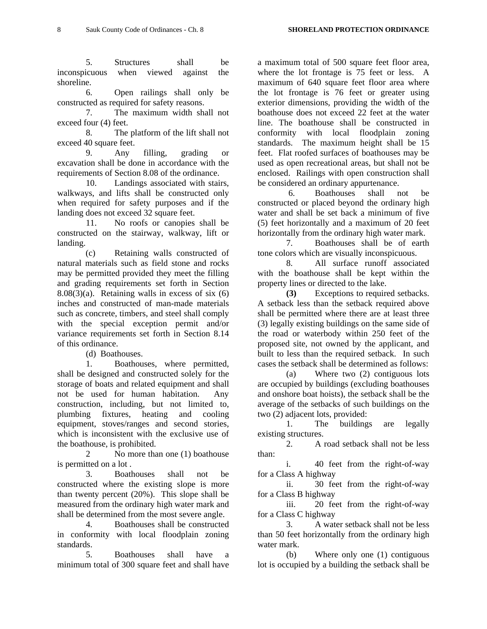5. Structures shall be inconspicuous when viewed against the shoreline.

 6. Open railings shall only be constructed as required for safety reasons.

 7. The maximum width shall not exceed four (4) feet.

 8. The platform of the lift shall not exceed 40 square feet.

 9. Any filling, grading or excavation shall be done in accordance with the requirements of Section 8.08 of the ordinance.

 10. Landings associated with stairs, walkways, and lifts shall be constructed only when required for safety purposes and if the landing does not exceed 32 square feet.

 11. No roofs or canopies shall be constructed on the stairway, walkway, lift or landing.

 (c) Retaining walls constructed of natural materials such as field stone and rocks may be permitted provided they meet the filling and grading requirements set forth in Section  $8.08(3)(a)$ . Retaining walls in excess of six  $(6)$ inches and constructed of man-made materials such as concrete, timbers, and steel shall comply with the special exception permit and/or variance requirements set forth in Section 8.14 of this ordinance.

(d) Boathouses.

 1. Boathouses, where permitted, shall be designed and constructed solely for the storage of boats and related equipment and shall not be used for human habitation. Any construction, including, but not limited to, plumbing fixtures, heating and cooling equipment, stoves/ranges and second stories, which is inconsistent with the exclusive use of the boathouse, is prohibited.

2 No more than one (1) boathouse is permitted on a lot .

 3. Boathouses shall not be constructed where the existing slope is more than twenty percent (20%). This slope shall be measured from the ordinary high water mark and shall be determined from the most severe angle.

 4. Boathouses shall be constructed in conformity with local floodplain zoning standards.

 5. Boathouses shall have a minimum total of 300 square feet and shall have

a maximum total of 500 square feet floor area, where the lot frontage is 75 feet or less. A maximum of 640 square feet floor area where the lot frontage is 76 feet or greater using exterior dimensions, providing the width of the boathouse does not exceed 22 feet at the water line. The boathouse shall be constructed in conformity with local floodplain zoning standards. The maximum height shall be 15 feet. Flat roofed surfaces of boathouses may be used as open recreational areas, but shall not be enclosed. Railings with open construction shall be considered an ordinary appurtenance.

 6. Boathouses shall not be constructed or placed beyond the ordinary high water and shall be set back a minimum of five (5) feet horizontally and a maximum of 20 feet horizontally from the ordinary high water mark.

 7. Boathouses shall be of earth tone colors which are visually inconspicuous.

 8. All surface runoff associated with the boathouse shall be kept within the property lines or directed to the lake.

**(3)** Exceptions to required setbacks. A setback less than the setback required above shall be permitted where there are at least three (3) legally existing buildings on the same side of the road or waterbody within 250 feet of the proposed site, not owned by the applicant, and built to less than the required setback. In such cases the setback shall be determined as follows:

 (a) Where two (2) contiguous lots are occupied by buildings (excluding boathouses and onshore boat hoists), the setback shall be the average of the setbacks of such buildings on the two (2) adjacent lots, provided:

 1. The buildings are legally existing structures.

 2. A road setback shall not be less than:

 i. 40 feet from the right-of-way for a Class A highway

 ii. 30 feet from the right-of-way for a Class B highway

 iii. 20 feet from the right-of-way for a Class C highway

 3. A water setback shall not be less than 50 feet horizontally from the ordinary high water mark.

 (b) Where only one (1) contiguous lot is occupied by a building the setback shall be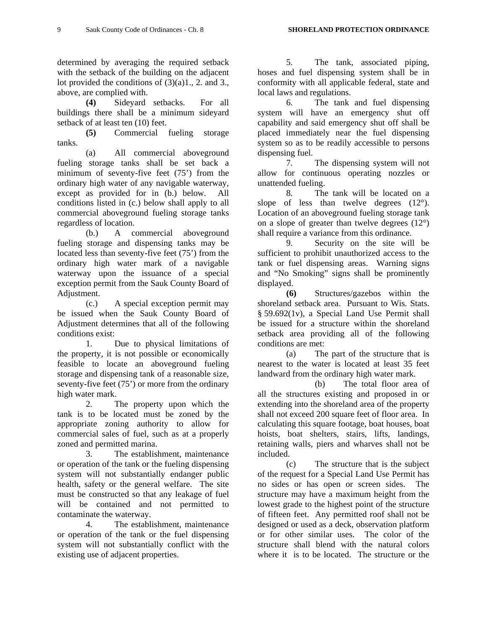determined by averaging the required setback with the setback of the building on the adjacent lot provided the conditions of  $(3)(a)1, 2$ . and 3., above, are complied with.

**(4)** Sideyard setbacks. For all buildings there shall be a minimum sideyard setback of at least ten (10) feet.

**(5)** Commercial fueling storage tanks.

 (a) All commercial aboveground fueling storage tanks shall be set back a minimum of seventy-five feet (75') from the ordinary high water of any navigable waterway, except as provided for in (b.) below. All conditions listed in (c.) below shall apply to all commercial aboveground fueling storage tanks regardless of location.

 (b.) A commercial aboveground fueling storage and dispensing tanks may be located less than seventy-five feet (75') from the ordinary high water mark of a navigable waterway upon the issuance of a special exception permit from the Sauk County Board of Adjustment.

 (c.) A special exception permit may be issued when the Sauk County Board of Adjustment determines that all of the following conditions exist:

 1. Due to physical limitations of the property, it is not possible or economically feasible to locate an aboveground fueling storage and dispensing tank of a reasonable size, seventy-five feet (75') or more from the ordinary high water mark.

 2. The property upon which the tank is to be located must be zoned by the appropriate zoning authority to allow for commercial sales of fuel, such as at a properly zoned and permitted marina.

 3. The establishment, maintenance or operation of the tank or the fueling dispensing system will not substantially endanger public health, safety or the general welfare. The site must be constructed so that any leakage of fuel will be contained and not permitted to contaminate the waterway.

 4. The establishment, maintenance or operation of the tank or the fuel dispensing system will not substantially conflict with the existing use of adjacent properties.

 5. The tank, associated piping, hoses and fuel dispensing system shall be in conformity with all applicable federal, state and local laws and regulations.

 6. The tank and fuel dispensing system will have an emergency shut off capability and said emergency shut off shall be placed immediately near the fuel dispensing system so as to be readily accessible to persons dispensing fuel.

 7. The dispensing system will not allow for continuous operating nozzles or unattended fueling.

 8. The tank will be located on a slope of less than twelve degrees  $(12^{\circ})$ . Location of an aboveground fueling storage tank on a slope of greater than twelve degrees (12°) shall require a variance from this ordinance.

 9. Security on the site will be sufficient to prohibit unauthorized access to the tank or fuel dispensing areas. Warning signs and "No Smoking" signs shall be prominently displayed.

 **(6)** Structures/gazebos within the shoreland setback area. Pursuant to Wis. Stats. § 59.692(1v), a Special Land Use Permit shall be issued for a structure within the shoreland setback area providing all of the following conditions are met:

 (a) The part of the structure that is nearest to the water is located at least 35 feet landward from the ordinary high water mark.

 (b) The total floor area of all the structures existing and proposed in or extending into the shoreland area of the property shall not exceed 200 square feet of floor area. In calculating this square footage, boat houses, boat hoists, boat shelters, stairs, lifts, landings, retaining walls, piers and wharves shall not be included.

 (c) The structure that is the subject of the request for a Special Land Use Permit has no sides or has open or screen sides. The structure may have a maximum height from the lowest grade to the highest point of the structure of fifteen feet. Any permitted roof shall not be designed or used as a deck, observation platform or for other similar uses. The color of the structure shall blend with the natural colors where it is to be located. The structure or the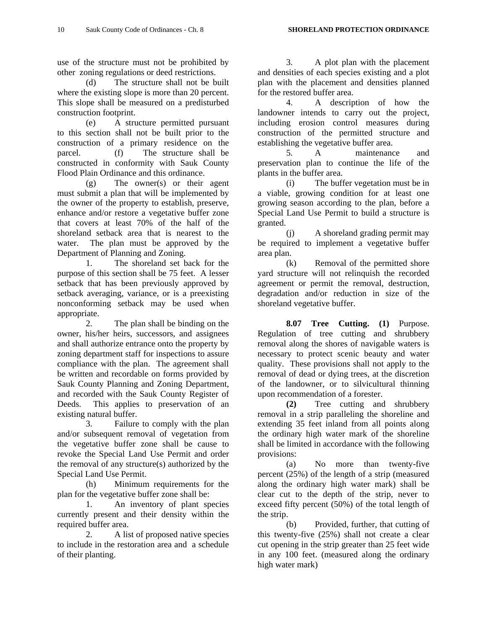use of the structure must not be prohibited by other zoning regulations or deed restrictions.

 (d) The structure shall not be built where the existing slope is more than 20 percent. This slope shall be measured on a predisturbed construction footprint.

 (e) A structure permitted pursuant to this section shall not be built prior to the construction of a primary residence on the parcel. (f) The structure shall be constructed in conformity with Sauk County Flood Plain Ordinance and this ordinance.

 (g) The owner(s) or their agent must submit a plan that will be implemented by the owner of the property to establish, preserve, enhance and/or restore a vegetative buffer zone that covers at least 70% of the half of the shoreland setback area that is nearest to the water. The plan must be approved by the Department of Planning and Zoning.

 1. The shoreland set back for the purpose of this section shall be 75 feet. A lesser setback that has been previously approved by setback averaging, variance, or is a preexisting nonconforming setback may be used when appropriate.

 2. The plan shall be binding on the owner, his/her heirs, successors, and assignees and shall authorize entrance onto the property by zoning department staff for inspections to assure compliance with the plan. The agreement shall be written and recordable on forms provided by Sauk County Planning and Zoning Department, and recorded with the Sauk County Register of Deeds. This applies to preservation of an existing natural buffer.

 3. Failure to comply with the plan and/or subsequent removal of vegetation from the vegetative buffer zone shall be cause to revoke the Special Land Use Permit and order the removal of any structure(s) authorized by the Special Land Use Permit.

 (h) Minimum requirements for the plan for the vegetative buffer zone shall be:

 1. An inventory of plant species currently present and their density within the required buffer area.

 2. A list of proposed native species to include in the restoration area and a schedule of their planting.

 3. A plot plan with the placement and densities of each species existing and a plot plan with the placement and densities planned for the restored buffer area.

 4. A description of how the landowner intends to carry out the project, including erosion control measures during construction of the permitted structure and establishing the vegetative buffer area.

 5. A maintenance and preservation plan to continue the life of the plants in the buffer area.

 (i) The buffer vegetation must be in a viable, growing condition for at least one growing season according to the plan, before a Special Land Use Permit to build a structure is granted.

 (j) A shoreland grading permit may be required to implement a vegetative buffer area plan.

 (k) Removal of the permitted shore yard structure will not relinquish the recorded agreement or permit the removal, destruction, degradation and/or reduction in size of the shoreland vegetative buffer.

**8.07 Tree Cutting. (1)** Purpose. Regulation of tree cutting and shrubbery removal along the shores of navigable waters is necessary to protect scenic beauty and water quality. These provisions shall not apply to the removal of dead or dying trees, at the discretion of the landowner, or to silvicultural thinning upon recommendation of a forester.

**(2)** Tree cutting and shrubbery removal in a strip paralleling the shoreline and extending 35 feet inland from all points along the ordinary high water mark of the shoreline shall be limited in accordance with the following provisions:

 (a) No more than twenty-five percent (25%) of the length of a strip (measured along the ordinary high water mark) shall be clear cut to the depth of the strip, never to exceed fifty percent (50%) of the total length of the strip.

 (b) Provided, further, that cutting of this twenty-five (25%) shall not create a clear cut opening in the strip greater than 25 feet wide in any 100 feet. (measured along the ordinary high water mark)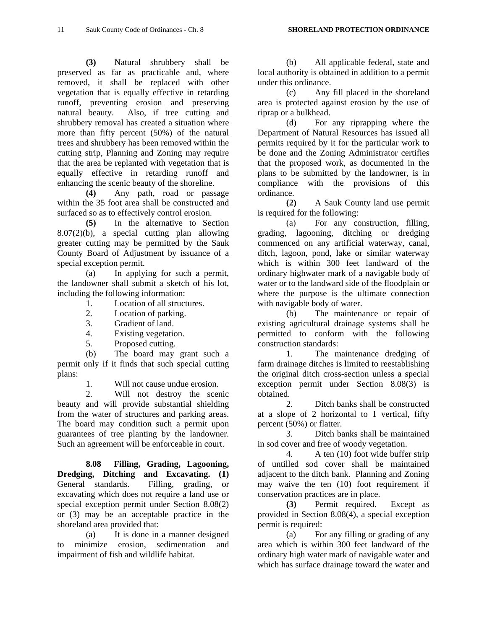**(3)** Natural shrubbery shall be preserved as far as practicable and, where removed, it shall be replaced with other vegetation that is equally effective in retarding runoff, preventing erosion and preserving natural beauty. Also, if tree cutting and shrubbery removal has created a situation where more than fifty percent (50%) of the natural trees and shrubbery has been removed within the cutting strip, Planning and Zoning may require that the area be replanted with vegetation that is equally effective in retarding runoff and enhancing the scenic beauty of the shoreline.

**(4)** Any path, road or passage within the 35 foot area shall be constructed and surfaced so as to effectively control erosion.

**(5)** In the alternative to Section 8.07(2)(b), a special cutting plan allowing greater cutting may be permitted by the Sauk County Board of Adjustment by issuance of a special exception permit.

 (a) In applying for such a permit, the landowner shall submit a sketch of his lot, including the following information:

1. Location of all structures.

- 2. Location of parking.
- 3. Gradient of land.
- 4. Existing vegetation.

5. Proposed cutting.

 (b) The board may grant such a permit only if it finds that such special cutting plans:

1. Will not cause undue erosion.

 2. Will not destroy the scenic beauty and will provide substantial shielding from the water of structures and parking areas. The board may condition such a permit upon guarantees of tree planting by the landowner. Such an agreement will be enforceable in court.

**8.08 Filling, Grading, Lagooning, Dredging, Ditching and Excavating. (1)** General standards. Filling, grading, or excavating which does not require a land use or special exception permit under Section 8.08(2) or (3) may be an acceptable practice in the shoreland area provided that:

 (a) It is done in a manner designed to minimize erosion, sedimentation and impairment of fish and wildlife habitat.

 (b) All applicable federal, state and local authority is obtained in addition to a permit under this ordinance.

 (c) Any fill placed in the shoreland area is protected against erosion by the use of riprap or a bulkhead.

 (d) For any riprapping where the Department of Natural Resources has issued all permits required by it for the particular work to be done and the Zoning Administrator certifies that the proposed work, as documented in the plans to be submitted by the landowner, is in compliance with the provisions of this ordinance.

**(2)** A Sauk County land use permit is required for the following:

 (a) For any construction, filling, grading, lagooning, ditching or dredging commenced on any artificial waterway, canal, ditch, lagoon, pond, lake or similar waterway which is within 300 feet landward of the ordinary highwater mark of a navigable body of water or to the landward side of the floodplain or where the purpose is the ultimate connection with navigable body of water.

 (b) The maintenance or repair of existing agricultural drainage systems shall be permitted to conform with the following construction standards:

 1. The maintenance dredging of farm drainage ditches is limited to reestablishing the original ditch cross-section unless a special exception permit under Section 8.08(3) is obtained.

 2. Ditch banks shall be constructed at a slope of 2 horizontal to 1 vertical, fifty percent (50%) or flatter.

 3. Ditch banks shall be maintained in sod cover and free of woody vegetation.

 4. A ten (10) foot wide buffer strip of untilled sod cover shall be maintained adjacent to the ditch bank. Planning and Zoning may waive the ten (10) foot requirement if conservation practices are in place.

**(3)** Permit required. Except as provided in Section 8.08(4), a special exception permit is required:

 (a) For any filling or grading of any area which is within 300 feet landward of the ordinary high water mark of navigable water and which has surface drainage toward the water and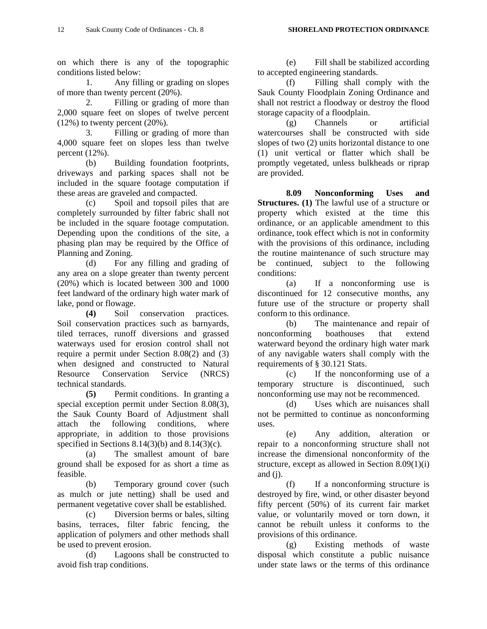on which there is any of the topographic conditions listed below:

 1. Any filling or grading on slopes of more than twenty percent (20%).

 2. Filling or grading of more than 2,000 square feet on slopes of twelve percent  $(12%)$  to twenty percent  $(20%).$ 

 3. Filling or grading of more than 4,000 square feet on slopes less than twelve percent (12%).

 (b) Building foundation footprints, driveways and parking spaces shall not be included in the square footage computation if these areas are graveled and compacted.

 (c) Spoil and topsoil piles that are completely surrounded by filter fabric shall not be included in the square footage computation. Depending upon the conditions of the site, a phasing plan may be required by the Office of Planning and Zoning.

 (d) For any filling and grading of any area on a slope greater than twenty percent (20%) which is located between 300 and 1000 feet landward of the ordinary high water mark of lake, pond or flowage.

**(4)** Soil conservation practices. Soil conservation practices such as barnyards, tiled terraces, runoff diversions and grassed waterways used for erosion control shall not require a permit under Section 8.08(2) and (3) when designed and constructed to Natural Resource Conservation Service (NRCS) technical standards.

**(5)** Permit conditions. In granting a special exception permit under Section 8.08(3), the Sauk County Board of Adjustment shall attach the following conditions, where appropriate, in addition to those provisions specified in Sections  $8.14(3)(b)$  and  $8.14(3)(c)$ .

 (a) The smallest amount of bare ground shall be exposed for as short a time as feasible.

 (b) Temporary ground cover (such as mulch or jute netting) shall be used and permanent vegetative cover shall be established.

 (c) Diversion berms or bales, silting basins, terraces, filter fabric fencing, the application of polymers and other methods shall be used to prevent erosion.

 (d) Lagoons shall be constructed to avoid fish trap conditions.

 (e) Fill shall be stabilized according to accepted engineering standards.

 (f) Filling shall comply with the Sauk County Floodplain Zoning Ordinance and shall not restrict a floodway or destroy the flood storage capacity of a floodplain.

 (g) Channels or artificial watercourses shall be constructed with side slopes of two (2) units horizontal distance to one (1) unit vertical or flatter which shall be promptly vegetated, unless bulkheads or riprap are provided.

**8.09 Nonconforming Uses and Structures. (1)** The lawful use of a structure or property which existed at the time this ordinance, or an applicable amendment to this ordinance, took effect which is not in conformity with the provisions of this ordinance, including the routine maintenance of such structure may be continued, subject to the following conditions:

 (a) If a nonconforming use is discontinued for 12 consecutive months, any future use of the structure or property shall conform to this ordinance.

 (b) The maintenance and repair of nonconforming boathouses that extend waterward beyond the ordinary high water mark of any navigable waters shall comply with the requirements of § 30.121 Stats.

 (c) If the nonconforming use of a temporary structure is discontinued, such nonconforming use may not be recommenced.

 (d) Uses which are nuisances shall not be permitted to continue as nonconforming uses.

 (e) Any addition, alteration or repair to a nonconforming structure shall not increase the dimensional nonconformity of the structure, except as allowed in Section 8.09(1)(i) and  $(i)$ .

 (f) If a nonconforming structure is destroyed by fire, wind, or other disaster beyond fifty percent (50%) of its current fair market value, or voluntarily moved or torn down, it cannot be rebuilt unless it conforms to the provisions of this ordinance.

 (g) Existing methods of waste disposal which constitute a public nuisance under state laws or the terms of this ordinance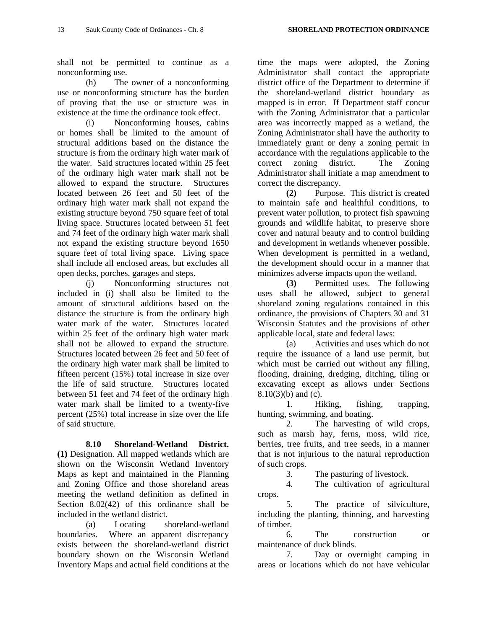shall not be permitted to continue as a nonconforming use.

 (h) The owner of a nonconforming use or nonconforming structure has the burden of proving that the use or structure was in existence at the time the ordinance took effect.

 (i) Nonconforming houses, cabins or homes shall be limited to the amount of structural additions based on the distance the structure is from the ordinary high water mark of the water. Said structures located within 25 feet of the ordinary high water mark shall not be allowed to expand the structure. Structures located between 26 feet and 50 feet of the ordinary high water mark shall not expand the existing structure beyond 750 square feet of total living space. Structures located between 51 feet and 74 feet of the ordinary high water mark shall not expand the existing structure beyond 1650 square feet of total living space. Living space shall include all enclosed areas, but excludes all open decks, porches, garages and steps.

 (j) Nonconforming structures not included in (i) shall also be limited to the amount of structural additions based on the distance the structure is from the ordinary high water mark of the water. Structures located within 25 feet of the ordinary high water mark shall not be allowed to expand the structure. Structures located between 26 feet and 50 feet of the ordinary high water mark shall be limited to fifteen percent (15%) total increase in size over the life of said structure. Structures located between 51 feet and 74 feet of the ordinary high water mark shall be limited to a twenty-five percent (25%) total increase in size over the life of said structure.

**8.10 Shoreland-Wetland District. (1)** Designation. All mapped wetlands which are shown on the Wisconsin Wetland Inventory Maps as kept and maintained in the Planning and Zoning Office and those shoreland areas meeting the wetland definition as defined in Section 8.02(42) of this ordinance shall be included in the wetland district.

 (a) Locating shoreland-wetland boundaries. Where an apparent discrepancy exists between the shoreland-wetland district boundary shown on the Wisconsin Wetland Inventory Maps and actual field conditions at the

time the maps were adopted, the Zoning Administrator shall contact the appropriate district office of the Department to determine if the shoreland-wetland district boundary as mapped is in error. If Department staff concur with the Zoning Administrator that a particular area was incorrectly mapped as a wetland, the Zoning Administrator shall have the authority to immediately grant or deny a zoning permit in accordance with the regulations applicable to the correct zoning district. The Zoning Administrator shall initiate a map amendment to correct the discrepancy.

**(2)** Purpose. This district is created to maintain safe and healthful conditions, to prevent water pollution, to protect fish spawning grounds and wildlife habitat, to preserve shore cover and natural beauty and to control building and development in wetlands whenever possible. When development is permitted in a wetland, the development should occur in a manner that minimizes adverse impacts upon the wetland.

**(3)** Permitted uses. The following uses shall be allowed, subject to general shoreland zoning regulations contained in this ordinance, the provisions of Chapters 30 and 31 Wisconsin Statutes and the provisions of other applicable local, state and federal laws:

 (a) Activities and uses which do not require the issuance of a land use permit, but which must be carried out without any filling, flooding, draining, dredging, ditching, tiling or excavating except as allows under Sections 8.10(3)(b) and (c).

 1. Hiking, fishing, trapping, hunting, swimming, and boating.

 2. The harvesting of wild crops, such as marsh hay, ferns, moss, wild rice, berries, tree fruits, and tree seeds, in a manner that is not injurious to the natural reproduction of such crops.

3. The pasturing of livestock.

 4. The cultivation of agricultural crops.

 5. The practice of silviculture, including the planting, thinning, and harvesting of timber.

 6. The construction or maintenance of duck blinds.

 7. Day or overnight camping in areas or locations which do not have vehicular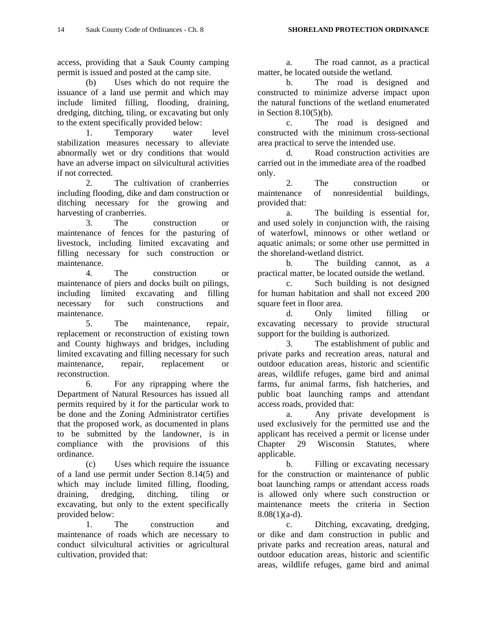access, providing that a Sauk County camping permit is issued and posted at the camp site.

 (b) Uses which do not require the issuance of a land use permit and which may include limited filling, flooding, draining, dredging, ditching, tiling, or excavating but only to the extent specifically provided below:

 1. Temporary water level stabilization measures necessary to alleviate abnormally wet or dry conditions that would have an adverse impact on silvicultural activities if not corrected.

 2. The cultivation of cranberries including flooding, dike and dam construction or ditching necessary for the growing and harvesting of cranberries.

 3. The construction or maintenance of fences for the pasturing of livestock, including limited excavating and filling necessary for such construction or maintenance.

 4. The construction or maintenance of piers and docks built on pilings, including limited excavating and filling necessary for such constructions and maintenance.

 5. The maintenance, repair, replacement or reconstruction of existing town and County highways and bridges, including limited excavating and filling necessary for such maintenance, repair, replacement or reconstruction.

 6. For any riprapping where the Department of Natural Resources has issued all permits required by it for the particular work to be done and the Zoning Administrator certifies that the proposed work, as documented in plans to be submitted by the landowner, is in compliance with the provisions of this ordinance.

 (c) Uses which require the issuance of a land use permit under Section 8.14(5) and which may include limited filling, flooding, draining, dredging, ditching, tiling or excavating, but only to the extent specifically provided below:

 1. The construction and maintenance of roads which are necessary to conduct silvicultural activities or agricultural cultivation, provided that:

 a. The road cannot, as a practical matter, be located outside the wetland.

 b. The road is designed and constructed to minimize adverse impact upon the natural functions of the wetland enumerated in Section 8.10(5)(b).

 c. The road is designed and constructed with the minimum cross-sectional area practical to serve the intended use.

 d. Road construction activities are carried out in the immediate area of the roadbed only.

 2. The construction or maintenance of nonresidential buildings, provided that:

 a. The building is essential for, and used solely in conjunction with, the raising of waterfowl, minnows or other wetland or aquatic animals; or some other use permitted in the shoreland-wetland district.

 b. The building cannot, as a practical matter, be located outside the wetland.

 c. Such building is not designed for human habitation and shall not exceed 200 square feet in floor area.

 d. Only limited filling or excavating necessary to provide structural support for the building is authorized.

 3. The establishment of public and private parks and recreation areas, natural and outdoor education areas, historic and scientific areas, wildlife refuges, game bird and animal farms, fur animal farms, fish hatcheries, and public boat launching ramps and attendant access roads, provided that:

 a. Any private development is used exclusively for the permitted use and the applicant has received a permit or license under Chapter 29 Wisconsin Statutes, where applicable.

 b. Filling or excavating necessary for the construction or maintenance of public boat launching ramps or attendant access roads is allowed only where such construction or maintenance meets the criteria in Section  $8.08(1)(a-d)$ .

 c. Ditching, excavating, dredging, or dike and dam construction in public and private parks and recreation areas, natural and outdoor education areas, historic and scientific areas, wildlife refuges, game bird and animal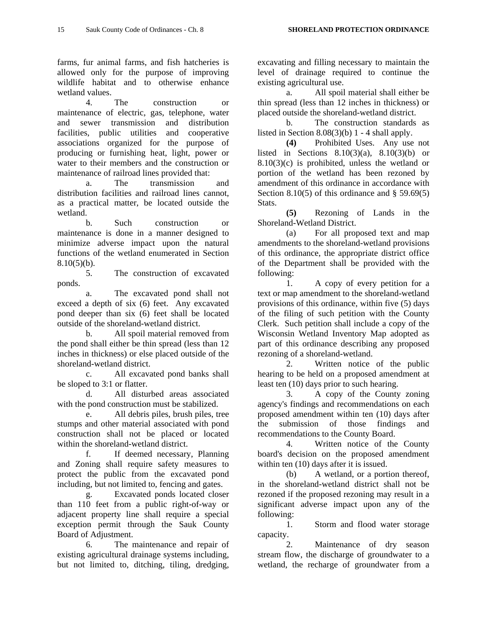farms, fur animal farms, and fish hatcheries is allowed only for the purpose of improving wildlife habitat and to otherwise enhance wetland values.

 4. The construction or maintenance of electric, gas, telephone, water and sewer transmission and distribution facilities, public utilities and cooperative associations organized for the purpose of producing or furnishing heat, light, power or water to their members and the construction or maintenance of railroad lines provided that:

 a. The transmission and distribution facilities and railroad lines cannot, as a practical matter, be located outside the wetland.

 b. Such construction or maintenance is done in a manner designed to minimize adverse impact upon the natural functions of the wetland enumerated in Section  $8.10(5)(b)$ .

 5. The construction of excavated ponds.

 a. The excavated pond shall not exceed a depth of six (6) feet. Any excavated pond deeper than six (6) feet shall be located outside of the shoreland-wetland district.

 b. All spoil material removed from the pond shall either be thin spread (less than 12 inches in thickness) or else placed outside of the shoreland-wetland district.

 c. All excavated pond banks shall be sloped to 3:1 or flatter.

 d. All disturbed areas associated with the pond construction must be stabilized.

 e. All debris piles, brush piles, tree stumps and other material associated with pond construction shall not be placed or located within the shoreland-wetland district.

 f. If deemed necessary, Planning and Zoning shall require safety measures to protect the public from the excavated pond including, but not limited to, fencing and gates.

 g. Excavated ponds located closer than 110 feet from a public right-of-way or adjacent property line shall require a special exception permit through the Sauk County Board of Adjustment.

 6. The maintenance and repair of existing agricultural drainage systems including, but not limited to, ditching, tiling, dredging,

excavating and filling necessary to maintain the level of drainage required to continue the existing agricultural use.

 a. All spoil material shall either be thin spread (less than 12 inches in thickness) or placed outside the shoreland-wetland district.

 b. The construction standards as listed in Section  $8.08(3)(b)$  1 - 4 shall apply.

**(4)** Prohibited Uses. Any use not listed in Sections  $8.10(3)(a)$ ,  $8.10(3)(b)$  or 8.10(3)(c) is prohibited, unless the wetland or portion of the wetland has been rezoned by amendment of this ordinance in accordance with Section 8.10(5) of this ordinance and  $\S$  59.69(5) Stats.

**(5)** Rezoning of Lands in the Shoreland-Wetland District.

 (a) For all proposed text and map amendments to the shoreland-wetland provisions of this ordinance, the appropriate district office of the Department shall be provided with the following:

 1. A copy of every petition for a text or map amendment to the shoreland-wetland provisions of this ordinance, within five (5) days of the filing of such petition with the County Clerk. Such petition shall include a copy of the Wisconsin Wetland Inventory Map adopted as part of this ordinance describing any proposed rezoning of a shoreland-wetland.

 2. Written notice of the public hearing to be held on a proposed amendment at least ten (10) days prior to such hearing.

 3. A copy of the County zoning agency's findings and recommendations on each proposed amendment within ten (10) days after the submission of those findings and recommendations to the County Board.

 4. Written notice of the County board's decision on the proposed amendment within ten  $(10)$  days after it is issued.

 (b) A wetland, or a portion thereof, in the shoreland-wetland district shall not be rezoned if the proposed rezoning may result in a significant adverse impact upon any of the following:

 1. Storm and flood water storage capacity.

 2. Maintenance of dry season stream flow, the discharge of groundwater to a wetland, the recharge of groundwater from a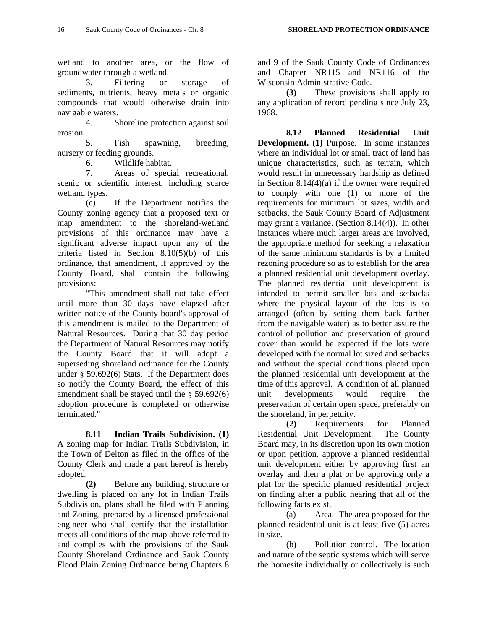wetland to another area, or the flow of groundwater through a wetland.

 3. Filtering or storage of sediments, nutrients, heavy metals or organic compounds that would otherwise drain into navigable waters.

 4. Shoreline protection against soil erosion.

 5. Fish spawning, breeding, nursery or feeding grounds.

6. Wildlife habitat.

 7. Areas of special recreational, scenic or scientific interest, including scarce wetland types.

 (c) If the Department notifies the County zoning agency that a proposed text or map amendment to the shoreland-wetland provisions of this ordinance may have a significant adverse impact upon any of the criteria listed in Section 8.10(5)(b) of this ordinance, that amendment, if approved by the County Board, shall contain the following provisions:

 "This amendment shall not take effect until more than 30 days have elapsed after written notice of the County board's approval of this amendment is mailed to the Department of Natural Resources. During that 30 day period the Department of Natural Resources may notify the County Board that it will adopt a superseding shoreland ordinance for the County under § 59.692(6) Stats. If the Department does so notify the County Board, the effect of this amendment shall be stayed until the § 59.692(6) adoption procedure is completed or otherwise terminated."

**8.11 Indian Trails Subdivision. (1)** A zoning map for Indian Trails Subdivision, in the Town of Delton as filed in the office of the County Clerk and made a part hereof is hereby adopted.

**(2)** Before any building, structure or dwelling is placed on any lot in Indian Trails Subdivision, plans shall be filed with Planning and Zoning, prepared by a licensed professional engineer who shall certify that the installation meets all conditions of the map above referred to and complies with the provisions of the Sauk County Shoreland Ordinance and Sauk County Flood Plain Zoning Ordinance being Chapters 8 and 9 of the Sauk County Code of Ordinances and Chapter NR115 and NR116 of the Wisconsin Administrative Code.

**(3)** These provisions shall apply to any application of record pending since July 23, 1968.

**8.12 Planned Residential Unit Development. (1)** Purpose. In some instances where an individual lot or small tract of land has unique characteristics, such as terrain, which would result in unnecessary hardship as defined in Section 8.14(4)(a) if the owner were required to comply with one (1) or more of the requirements for minimum lot sizes, width and setbacks, the Sauk County Board of Adjustment may grant a variance. (Section 8.14(4)). In other instances where much larger areas are involved, the appropriate method for seeking a relaxation of the same minimum standards is by a limited rezoning procedure so as to establish for the area a planned residential unit development overlay. The planned residential unit development is intended to permit smaller lots and setbacks where the physical layout of the lots is so arranged (often by setting them back farther from the navigable water) as to better assure the control of pollution and preservation of ground cover than would be expected if the lots were developed with the normal lot sized and setbacks and without the special conditions placed upon the planned residential unit development at the time of this approval. A condition of all planned unit developments would require the preservation of certain open space, preferably on the shoreland, in perpetuity.

**(2)** Requirements for Planned Residential Unit Development. The County Board may, in its discretion upon its own motion or upon petition, approve a planned residential unit development either by approving first an overlay and then a plat or by approving only a plat for the specific planned residential project on finding after a public hearing that all of the following facts exist.

 (a) Area. The area proposed for the planned residential unit is at least five (5) acres in size.

 (b) Pollution control. The location and nature of the septic systems which will serve the homesite individually or collectively is such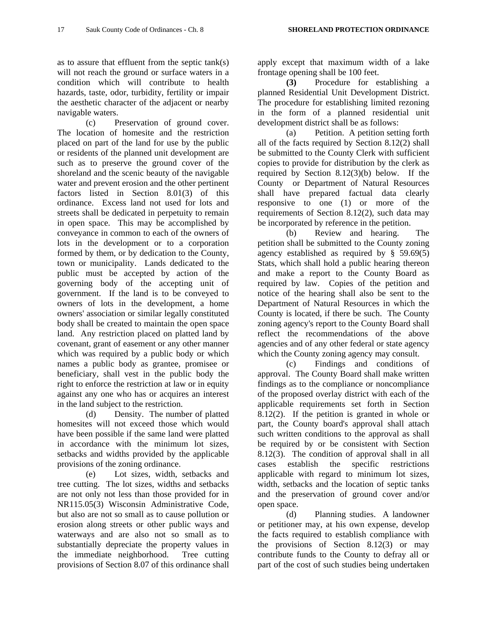as to assure that effluent from the septic tank(s) will not reach the ground or surface waters in a condition which will contribute to health hazards, taste, odor, turbidity, fertility or impair the aesthetic character of the adjacent or nearby navigable waters.

 (c) Preservation of ground cover. The location of homesite and the restriction placed on part of the land for use by the public or residents of the planned unit development are such as to preserve the ground cover of the shoreland and the scenic beauty of the navigable water and prevent erosion and the other pertinent factors listed in Section 8.01(3) of this ordinance. Excess land not used for lots and streets shall be dedicated in perpetuity to remain in open space. This may be accomplished by conveyance in common to each of the owners of lots in the development or to a corporation formed by them, or by dedication to the County, town or municipality. Lands dedicated to the public must be accepted by action of the governing body of the accepting unit of government. If the land is to be conveyed to owners of lots in the development, a home owners' association or similar legally constituted body shall be created to maintain the open space land. Any restriction placed on platted land by covenant, grant of easement or any other manner which was required by a public body or which names a public body as grantee, promisee or beneficiary, shall vest in the public body the right to enforce the restriction at law or in equity against any one who has or acquires an interest in the land subject to the restriction.

 (d) Density. The number of platted homesites will not exceed those which would have been possible if the same land were platted in accordance with the minimum lot sizes, setbacks and widths provided by the applicable provisions of the zoning ordinance.

 (e) Lot sizes, width, setbacks and tree cutting. The lot sizes, widths and setbacks are not only not less than those provided for in NR115.05(3) Wisconsin Administrative Code, but also are not so small as to cause pollution or erosion along streets or other public ways and waterways and are also not so small as to substantially depreciate the property values in the immediate neighborhood. Tree cutting provisions of Section 8.07 of this ordinance shall apply except that maximum width of a lake frontage opening shall be 100 feet.

**(3)** Procedure for establishing a planned Residential Unit Development District. The procedure for establishing limited rezoning in the form of a planned residential unit development district shall be as follows:

 (a) Petition. A petition setting forth all of the facts required by Section 8.12(2) shall be submitted to the County Clerk with sufficient copies to provide for distribution by the clerk as required by Section 8.12(3)(b) below. If the County or Department of Natural Resources shall have prepared factual data clearly responsive to one (1) or more of the requirements of Section 8.12(2), such data may be incorporated by reference in the petition.

 (b) Review and hearing. The petition shall be submitted to the County zoning agency established as required by § 59.69(5) Stats, which shall hold a public hearing thereon and make a report to the County Board as required by law. Copies of the petition and notice of the hearing shall also be sent to the Department of Natural Resources in which the County is located, if there be such. The County zoning agency's report to the County Board shall reflect the recommendations of the above agencies and of any other federal or state agency which the County zoning agency may consult.

 (c) Findings and conditions of approval. The County Board shall make written findings as to the compliance or noncompliance of the proposed overlay district with each of the applicable requirements set forth in Section 8.12(2). If the petition is granted in whole or part, the County board's approval shall attach such written conditions to the approval as shall be required by or be consistent with Section 8.12(3). The condition of approval shall in all cases establish the specific restrictions applicable with regard to minimum lot sizes, width, setbacks and the location of septic tanks and the preservation of ground cover and/or open space.

 (d) Planning studies. A landowner or petitioner may, at his own expense, develop the facts required to establish compliance with the provisions of Section 8.12(3) or may contribute funds to the County to defray all or part of the cost of such studies being undertaken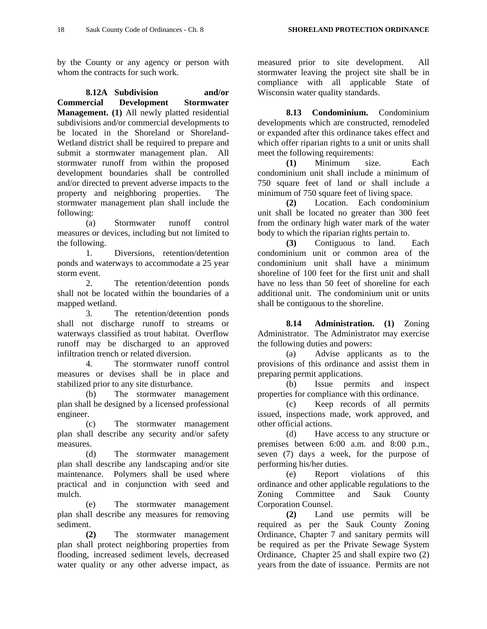by the County or any agency or person with whom the contracts for such work.

**8.12A Subdivision and/or Commercial Development Stormwater Management. (1)** All newly platted residential subdivisions and/or commercial developments to be located in the Shoreland or Shoreland-Wetland district shall be required to prepare and submit a stormwater management plan. All stormwater runoff from within the proposed development boundaries shall be controlled and/or directed to prevent adverse impacts to the property and neighboring properties. The stormwater management plan shall include the following:

 (a) Stormwater runoff control measures or devices, including but not limited to the following.

 1. Diversions, retention/detention ponds and waterways to accommodate a 25 year storm event.

 2. The retention/detention ponds shall not be located within the boundaries of a mapped wetland.

 3. The retention/detention ponds shall not discharge runoff to streams or waterways classified as trout habitat. Overflow runoff may be discharged to an approved infiltration trench or related diversion.

 4. The stormwater runoff control measures or devises shall be in place and stabilized prior to any site disturbance.

 (b) The stormwater management plan shall be designed by a licensed professional engineer.

 (c) The stormwater management plan shall describe any security and/or safety measures.

 (d) The stormwater management plan shall describe any landscaping and/or site maintenance. Polymers shall be used where practical and in conjunction with seed and mulch.

 (e) The stormwater management plan shall describe any measures for removing sediment.

**(2)** The stormwater management plan shall protect neighboring properties from flooding, increased sediment levels, decreased water quality or any other adverse impact, as

measured prior to site development. All stormwater leaving the project site shall be in compliance with all applicable State of Wisconsin water quality standards.

**8.13 Condominium.** Condominium developments which are constructed, remodeled or expanded after this ordinance takes effect and which offer riparian rights to a unit or units shall meet the following requirements:

**(1)** Minimum size. Each condominium unit shall include a minimum of 750 square feet of land or shall include a minimum of 750 square feet of living space.

**(2)** Location. Each condominium unit shall be located no greater than 300 feet from the ordinary high water mark of the water body to which the riparian rights pertain to.

**(3)** Contiguous to land. Each condominium unit or common area of the condominium unit shall have a minimum shoreline of 100 feet for the first unit and shall have no less than 50 feet of shoreline for each additional unit. The condominium unit or units shall be contiguous to the shoreline.

 **8.14 Administration. (1)** Zoning Administrator. The Administrator may exercise the following duties and powers:

 (a) Advise applicants as to the provisions of this ordinance and assist them in preparing permit applications.

 (b) Issue permits and inspect properties for compliance with this ordinance.

 (c) Keep records of all permits issued, inspections made, work approved, and other official actions.

 (d) Have access to any structure or premises between 6:00 a.m. and 8:00 p.m., seven (7) days a week, for the purpose of performing his/her duties.

 (e) Report violations of this ordinance and other applicable regulations to the Zoning Committee and Sauk County Corporation Counsel.

**(2)** Land use permits will be required as per the Sauk County Zoning Ordinance, Chapter 7 and sanitary permits will be required as per the Private Sewage System Ordinance, Chapter 25 and shall expire two (2) years from the date of issuance. Permits are not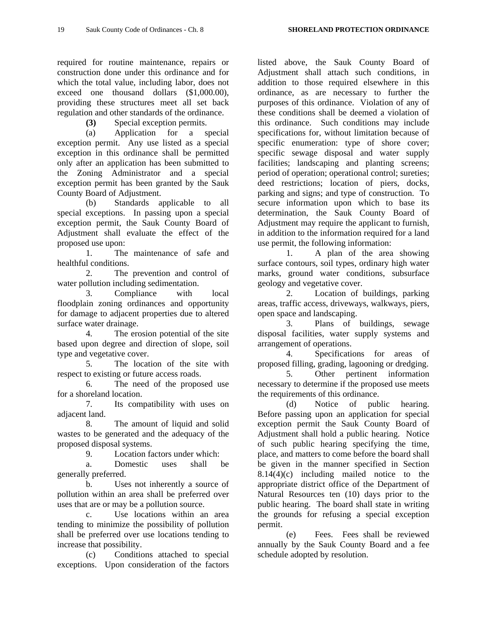required for routine maintenance, repairs or construction done under this ordinance and for which the total value, including labor, does not exceed one thousand dollars (\$1,000.00), providing these structures meet all set back regulation and other standards of the ordinance.

**(3)** Special exception permits.

 (a) Application for a special exception permit. Any use listed as a special exception in this ordinance shall be permitted only after an application has been submitted to the Zoning Administrator and a special exception permit has been granted by the Sauk County Board of Adjustment.

 (b) Standards applicable to all special exceptions. In passing upon a special exception permit, the Sauk County Board of Adjustment shall evaluate the effect of the proposed use upon:

 1. The maintenance of safe and healthful conditions.

 2. The prevention and control of water pollution including sedimentation.

 3. Compliance with local floodplain zoning ordinances and opportunity for damage to adjacent properties due to altered surface water drainage.

 4. The erosion potential of the site based upon degree and direction of slope, soil type and vegetative cover.

 5. The location of the site with respect to existing or future access roads.

 6. The need of the proposed use for a shoreland location.

 7. Its compatibility with uses on adjacent land.

 8. The amount of liquid and solid wastes to be generated and the adequacy of the proposed disposal systems.

9. Location factors under which:

 a. Domestic uses shall be generally preferred.

 b. Uses not inherently a source of pollution within an area shall be preferred over uses that are or may be a pollution source.

 c. Use locations within an area tending to minimize the possibility of pollution shall be preferred over use locations tending to increase that possibility.

 (c) Conditions attached to special exceptions. Upon consideration of the factors

listed above, the Sauk County Board of Adjustment shall attach such conditions, in addition to those required elsewhere in this ordinance, as are necessary to further the purposes of this ordinance. Violation of any of these conditions shall be deemed a violation of this ordinance. Such conditions may include specifications for, without limitation because of specific enumeration: type of shore cover; specific sewage disposal and water supply facilities; landscaping and planting screens; period of operation; operational control; sureties; deed restrictions; location of piers, docks, parking and signs; and type of construction. To secure information upon which to base its determination, the Sauk County Board of Adjustment may require the applicant to furnish, in addition to the information required for a land use permit, the following information:

 1. A plan of the area showing surface contours, soil types, ordinary high water marks, ground water conditions, subsurface geology and vegetative cover.

 2. Location of buildings, parking areas, traffic access, driveways, walkways, piers, open space and landscaping.

 3. Plans of buildings, sewage disposal facilities, water supply systems and arrangement of operations.

 4. Specifications for areas of proposed filling, grading, lagooning or dredging.

 5. Other pertinent information necessary to determine if the proposed use meets the requirements of this ordinance.

 (d) Notice of public hearing. Before passing upon an application for special exception permit the Sauk County Board of Adjustment shall hold a public hearing. Notice of such public hearing specifying the time, place, and matters to come before the board shall be given in the manner specified in Section 8.14(4)(c) including mailed notice to the appropriate district office of the Department of Natural Resources ten (10) days prior to the public hearing. The board shall state in writing the grounds for refusing a special exception permit.

 (e) Fees. Fees shall be reviewed annually by the Sauk County Board and a fee schedule adopted by resolution.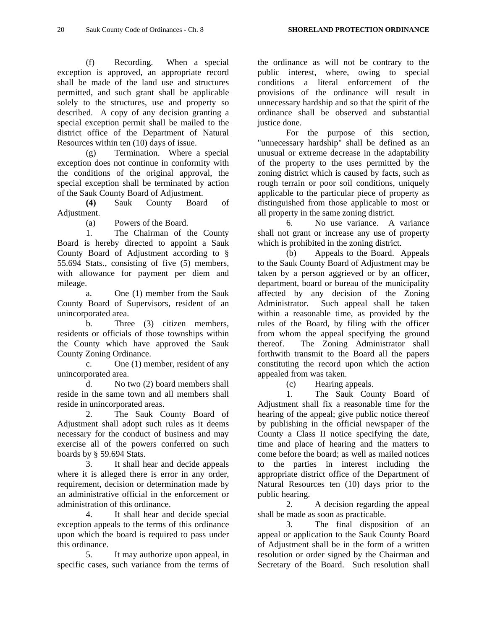(f) Recording. When a special exception is approved, an appropriate record shall be made of the land use and structures permitted, and such grant shall be applicable solely to the structures, use and property so described. A copy of any decision granting a special exception permit shall be mailed to the district office of the Department of Natural Resources within ten (10) days of issue.

 (g) Termination. Where a special exception does not continue in conformity with the conditions of the original approval, the special exception shall be terminated by action of the Sauk County Board of Adjustment.

**(4)** Sauk County Board of Adjustment.

(a) Powers of the Board.

 1. The Chairman of the County Board is hereby directed to appoint a Sauk County Board of Adjustment according to § 55.694 Stats., consisting of five (5) members, with allowance for payment per diem and mileage.

 a. One (1) member from the Sauk County Board of Supervisors, resident of an unincorporated area.

 b. Three (3) citizen members, residents or officials of those townships within the County which have approved the Sauk County Zoning Ordinance.

 c. One (1) member, resident of any unincorporated area.

 d. No two (2) board members shall reside in the same town and all members shall reside in unincorporated areas.

 2. The Sauk County Board of Adjustment shall adopt such rules as it deems necessary for the conduct of business and may exercise all of the powers conferred on such boards by § 59.694 Stats.

 3. It shall hear and decide appeals where it is alleged there is error in any order, requirement, decision or determination made by an administrative official in the enforcement or administration of this ordinance.

 4. It shall hear and decide special exception appeals to the terms of this ordinance upon which the board is required to pass under this ordinance.

 5. It may authorize upon appeal, in specific cases, such variance from the terms of

the ordinance as will not be contrary to the public interest, where, owing to special conditions a literal enforcement of the provisions of the ordinance will result in unnecessary hardship and so that the spirit of the ordinance shall be observed and substantial justice done.

 For the purpose of this section, "unnecessary hardship" shall be defined as an unusual or extreme decrease in the adaptability of the property to the uses permitted by the zoning district which is caused by facts, such as rough terrain or poor soil conditions, uniquely applicable to the particular piece of property as distinguished from those applicable to most or all property in the same zoning district.

 6. No use variance. A variance shall not grant or increase any use of property which is prohibited in the zoning district.

 (b) Appeals to the Board. Appeals to the Sauk County Board of Adjustment may be taken by a person aggrieved or by an officer, department, board or bureau of the municipality affected by any decision of the Zoning Administrator. Such appeal shall be taken within a reasonable time, as provided by the rules of the Board, by filing with the officer from whom the appeal specifying the ground thereof. The Zoning Administrator shall forthwith transmit to the Board all the papers constituting the record upon which the action appealed from was taken.

(c) Hearing appeals.

 1. The Sauk County Board of Adjustment shall fix a reasonable time for the hearing of the appeal; give public notice thereof by publishing in the official newspaper of the County a Class II notice specifying the date, time and place of hearing and the matters to come before the board; as well as mailed notices to the parties in interest including the appropriate district office of the Department of Natural Resources ten (10) days prior to the public hearing.

 2. A decision regarding the appeal shall be made as soon as practicable.

 3. The final disposition of an appeal or application to the Sauk County Board of Adjustment shall be in the form of a written resolution or order signed by the Chairman and Secretary of the Board. Such resolution shall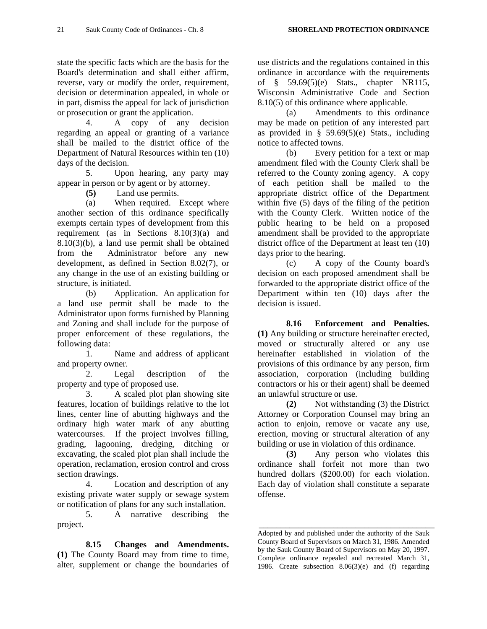state the specific facts which are the basis for the Board's determination and shall either affirm, reverse, vary or modify the order, requirement, decision or determination appealed, in whole or in part, dismiss the appeal for lack of jurisdiction or prosecution or grant the application.

 4. A copy of any decision regarding an appeal or granting of a variance shall be mailed to the district office of the Department of Natural Resources within ten (10) days of the decision.

 5. Upon hearing, any party may appear in person or by agent or by attorney.

**(5)** Land use permits.

 (a) When required. Except where another section of this ordinance specifically exempts certain types of development from this requirement (as in Sections 8.10(3)(a) and 8.10(3)(b), a land use permit shall be obtained from the Administrator before any new development, as defined in Section 8.02(7), or any change in the use of an existing building or structure, is initiated.

 (b) Application. An application for a land use permit shall be made to the Administrator upon forms furnished by Planning and Zoning and shall include for the purpose of proper enforcement of these regulations, the following data:

 1. Name and address of applicant and property owner.

 2. Legal description of the property and type of proposed use.

 3. A scaled plot plan showing site features, location of buildings relative to the lot lines, center line of abutting highways and the ordinary high water mark of any abutting watercourses. If the project involves filling, grading, lagooning, dredging, ditching or excavating, the scaled plot plan shall include the operation, reclamation, erosion control and cross section drawings.

 4. Location and description of any existing private water supply or sewage system or notification of plans for any such installation.

 5. A narrative describing the project.

**8.15 Changes and Amendments. (1)** The County Board may from time to time, alter, supplement or change the boundaries of

use districts and the regulations contained in this ordinance in accordance with the requirements of § 59.69(5)(e) Stats., chapter NR115, Wisconsin Administrative Code and Section 8.10(5) of this ordinance where applicable.

 (a) Amendments to this ordinance may be made on petition of any interested part as provided in  $\S$  59.69(5)(e) Stats., including notice to affected towns.

 (b) Every petition for a text or map amendment filed with the County Clerk shall be referred to the County zoning agency. A copy of each petition shall be mailed to the appropriate district office of the Department within five (5) days of the filing of the petition with the County Clerk. Written notice of the public hearing to be held on a proposed amendment shall be provided to the appropriate district office of the Department at least ten (10) days prior to the hearing.

 (c) A copy of the County board's decision on each proposed amendment shall be forwarded to the appropriate district office of the Department within ten (10) days after the decision is issued.

**8.16 Enforcement and Penalties. (1)** Any building or structure hereinafter erected, moved or structurally altered or any use hereinafter established in violation of the provisions of this ordinance by any person, firm association, corporation (including building contractors or his or their agent) shall be deemed an unlawful structure or use.

**(2)** Not withstanding (3) the District Attorney or Corporation Counsel may bring an action to enjoin, remove or vacate any use, erection, moving or structural alteration of any building or use in violation of this ordinance.

**(3)** Any person who violates this ordinance shall forfeit not more than two hundred dollars (\$200.00) for each violation. Each day of violation shall constitute a separate offense.

\_\_\_\_\_\_\_\_\_\_\_\_\_\_\_\_\_\_\_\_\_\_\_\_\_\_\_\_\_\_\_\_\_\_\_\_\_\_\_\_ Adopted by and published under the authority of the Sauk County Board of Supervisors on March 31, 1986. Amended by the Sauk County Board of Supervisors on May 20, 1997. Complete ordinance repealed and recreated March 31, 1986. Create subsection 8.06(3)(e) and (f) regarding